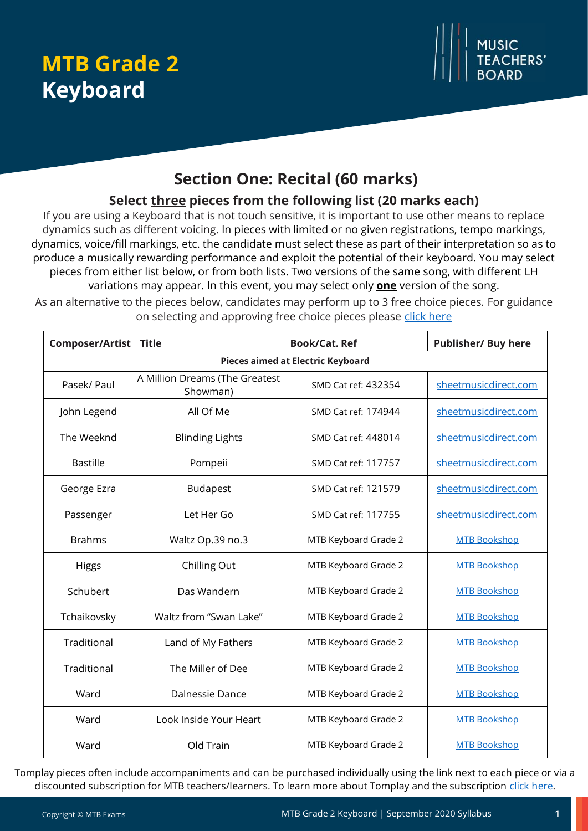# **MTB Grade 2 Keyboard**



# **Section One: Recital (60 marks)**

## **Select three pieces from the following list (20 marks each)**

If you are using a Keyboard that is not touch sensitive, it is important to use other means to replace dynamics such as different voicing. In pieces with limited or no given registrations, tempo markings, dynamics, voice/fill markings, etc. the candidate must select these as part of their interpretation so as to produce a musically rewarding performance and exploit the potential of their keyboard. You may select pieces from either list below, or from both lists. Two versions of the same song, with different LH variations may appear. In this event, you may select only **one** version of the song.

As an alternative to the pieces below, candidates may perform up to 3 free choice pieces. For guidance on selecting and approving free choice pieces please [click here](https://www.mtbexams.com/how-it-works/free-choice-pieces-guidance/)

| Composer/Artist                   | <b>Title</b>                               | <b>Book/Cat. Ref</b> | <b>Publisher/ Buy here</b> |
|-----------------------------------|--------------------------------------------|----------------------|----------------------------|
| Pieces aimed at Electric Keyboard |                                            |                      |                            |
| Pasek/ Paul                       | A Million Dreams (The Greatest<br>Showman) | SMD Cat ref: 432354  | sheetmusicdirect.com       |
| John Legend                       | All Of Me                                  | SMD Cat ref: 174944  | sheetmusicdirect.com       |
| The Weeknd                        | <b>Blinding Lights</b>                     | SMD Cat ref: 448014  | sheetmusicdirect.com       |
| <b>Bastille</b>                   | Pompeii                                    | SMD Cat ref: 117757  | sheetmusicdirect.com       |
| George Ezra                       | <b>Budapest</b>                            | SMD Cat ref: 121579  | sheetmusicdirect.com       |
| Passenger                         | Let Her Go                                 | SMD Cat ref: 117755  | sheetmusicdirect.com       |
| <b>Brahms</b>                     | Waltz Op.39 no.3                           | MTB Keyboard Grade 2 | <b>MTB Bookshop</b>        |
| <b>Higgs</b>                      | Chilling Out                               | MTB Keyboard Grade 2 | <b>MTB Bookshop</b>        |
| Schubert                          | Das Wandern                                | MTB Keyboard Grade 2 | <b>MTB Bookshop</b>        |
| Tchaikovsky                       | Waltz from "Swan Lake"                     | MTB Keyboard Grade 2 | <b>MTB Bookshop</b>        |
| Traditional                       | Land of My Fathers                         | MTB Keyboard Grade 2 | <b>MTB Bookshop</b>        |
| Traditional                       | The Miller of Dee                          | MTB Keyboard Grade 2 | <b>MTB Bookshop</b>        |
| Ward                              | Dalnessie Dance                            | MTB Keyboard Grade 2 | <b>MTB Bookshop</b>        |
| Ward                              | Look Inside Your Heart                     | MTB Keyboard Grade 2 | <b>MTB Bookshop</b>        |
| Ward                              | Old Train                                  | MTB Keyboard Grade 2 | <b>MTB Bookshop</b>        |

Tomplay pieces often include accompaniments and can be purchased individually using the link next to each piece or via a discounted subscription for MTB teachers/learners. To learn more about Tomplay and the subscription [click here.](https://www.mtbexams.com/2020/09/14/mtb-partner-with-tomplay/)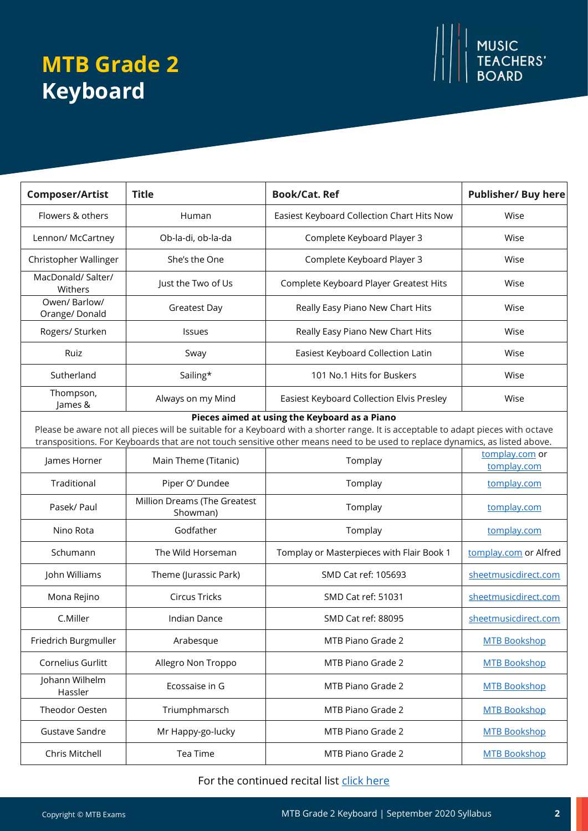# **MTB Grade 2 Keyboard**



#### For the continued recital list [click here](https://www.mtbexams.com/wp-content/uploads/2021/02/MTB-Keyboard-Grade-2-Continued-Recital-Selection.pdf)

MUSIC<br>TEACHERS'